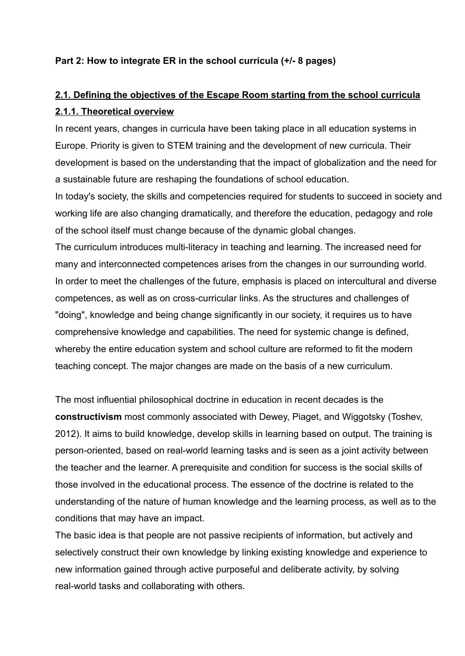## **Part 2: How to integrate ER in the school curricula (+/- 8 pages)**

# **2.1. Defining the objectives of the Escape Room starting from the school curricula 2.1.1. Theoretical overview**

In recent years, changes in curricula have been taking place in all education systems in Europe. Priority is given to STEM training and the development of new curricula. Their development is based on the understanding that the impact of globalization and the need for a sustainable future are reshaping the foundations of school education.

In today's society, the skills and competencies required for students to succeed in society and working life are also changing dramatically, and therefore the education, pedagogy and role of the school itself must change because of the dynamic global changes.

The curriculum introduces multi-literacy in teaching and learning. The increased need for many and interconnected competences arises from the changes in our surrounding world. In order to meet the challenges of the future, emphasis is placed on intercultural and diverse competences, as well as on cross-curricular links. As the structures and challenges of "doing", knowledge and being change significantly in our society, it requires us to have comprehensive knowledge and capabilities. The need for systemic change is defined, whereby the entire education system and school culture are reformed to fit the modern teaching concept. The major changes are made on the basis of a new curriculum.

The most influential philosophical doctrine in education in recent decades is the **constructivism** most commonly associated with Dewey, Piaget, and Wiggotsky (Toshev, 2012). It aims to build knowledge, develop skills in learning based on output. The training is person-oriented, based on real-world learning tasks and is seen as a joint activity between the teacher and the learner. A prerequisite and condition for success is the social skills of those involved in the educational process. The essence of the doctrine is related to the understanding of the nature of human knowledge and the learning process, as well as to the conditions that may have an impact.

The basic idea is that people are not passive recipients of information, but actively and selectively construct their own knowledge by linking existing knowledge and experience to new information gained through active purposeful and deliberate activity, by solving real-world tasks and collaborating with others.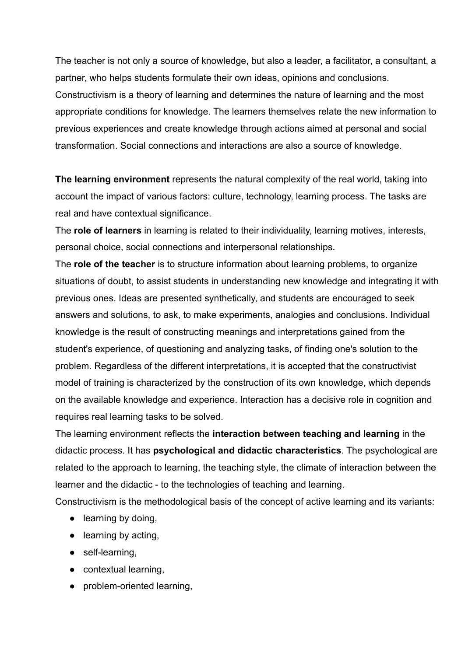The teacher is not only a source of knowledge, but also a leader, a facilitator, a consultant, a partner, who helps students formulate their own ideas, opinions and conclusions. Constructivism is a theory of learning and determines the nature of learning and the most appropriate conditions for knowledge. The learners themselves relate the new information to previous experiences and create knowledge through actions aimed at personal and social transformation. Social connections and interactions are also a source of knowledge.

**The learning environment** represents the natural complexity of the real world, taking into account the impact of various factors: culture, technology, learning process. The tasks are real and have contextual significance.

The **role of learners** in learning is related to their individuality, learning motives, interests, personal choice, social connections and interpersonal relationships.

The **role of the teacher** is to structure information about learning problems, to organize situations of doubt, to assist students in understanding new knowledge and integrating it with previous ones. Ideas are presented synthetically, and students are encouraged to seek answers and solutions, to ask, to make experiments, analogies and conclusions. Individual knowledge is the result of constructing meanings and interpretations gained from the student's experience, of questioning and analyzing tasks, of finding one's solution to the problem. Regardless of the different interpretations, it is accepted that the constructivist model of training is characterized by the construction of its own knowledge, which depends on the available knowledge and experience. Interaction has a decisive role in cognition and requires real learning tasks to be solved.

The learning environment reflects the **interaction between teaching and learning** in the didactic process. It has **psychological and didactic characteristics**. The psychological are related to the approach to learning, the teaching style, the climate of interaction between the learner and the didactic - to the technologies of teaching and learning.

Constructivism is the methodological basis of the concept of active learning and its variants:

- learning by doing,
- learning by acting,
- self-learning,
- contextual learning,
- problem-oriented learning,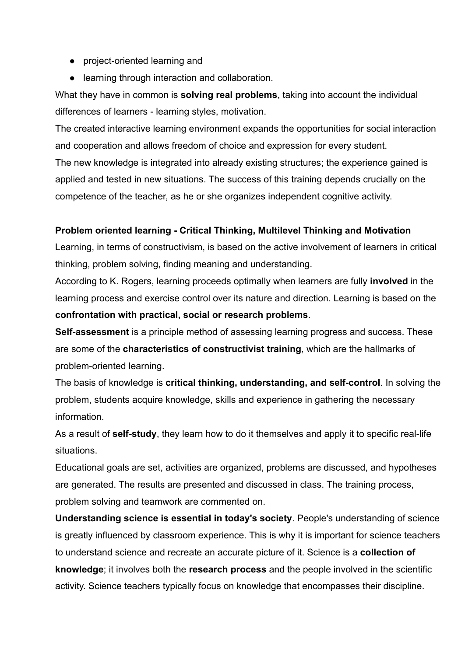- project-oriented learning and
- learning through interaction and collaboration.

What they have in common is **solving real problems**, taking into account the individual differences of learners - learning styles, motivation.

The created interactive learning environment expands the opportunities for social interaction and cooperation and allows freedom of choice and expression for every student.

The new knowledge is integrated into already existing structures; the experience gained is applied and tested in new situations. The success of this training depends crucially on the competence of the teacher, as he or she organizes independent cognitive activity.

### **Problem oriented learning - Critical Thinking, Multilevel Thinking and Motivation**

Learning, in terms of constructivism, is based on the active involvement of learners in critical thinking, problem solving, finding meaning and understanding.

According to K. Rogers, learning proceeds optimally when learners are fully **involved** in the learning process and exercise control over its nature and direction. Learning is based on the **confrontation with practical, social or research problems**.

**Self-assessment** is a principle method of assessing learning progress and success. These are some of the **characteristics of constructivist training**, which are the hallmarks of problem-oriented learning.

The basis of knowledge is **critical thinking, understanding, and self-control**. In solving the problem, students acquire knowledge, skills and experience in gathering the necessary information.

As a result of **self-study**, they learn how to do it themselves and apply it to specific real-life situations.

Educational goals are set, activities are organized, problems are discussed, and hypotheses are generated. The results are presented and discussed in class. The training process, problem solving and teamwork are commented on.

**Understanding science is essential in today's society**. People's understanding of science is greatly influenced by classroom experience. This is why it is important for science teachers to understand science and recreate an accurate picture of it. Science is a **collection of knowledge**; it involves both the **research process** and the people involved in the scientific activity. Science teachers typically focus on knowledge that encompasses their discipline.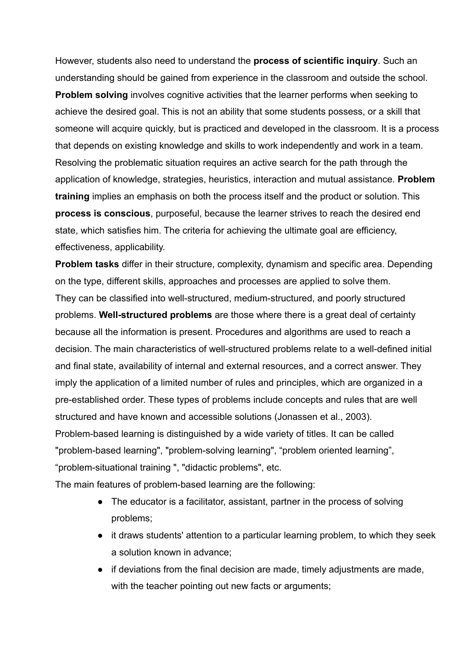However, students also need to understand the **process of scientific inquiry**. Such an understanding should be gained from experience in the classroom and outside the school. **Problem solving** involves cognitive activities that the learner performs when seeking to achieve the desired goal. This is not an ability that some students possess, or a skill that someone will acquire quickly, but is practiced and developed in the classroom. It is a process that depends on existing knowledge and skills to work independently and work in a team. Resolving the problematic situation requires an active search for the path through the application of knowledge, strategies, heuristics, interaction and mutual assistance. **Problem training** implies an emphasis on both the process itself and the product or solution. This **process is conscious**, purposeful, because the learner strives to reach the desired end state, which satisfies him. The criteria for achieving the ultimate goal are efficiency, effectiveness, applicability.

**Problem tasks** differ in their structure, complexity, dynamism and specific area. Depending on the type, different skills, approaches and processes are applied to solve them. They can be classified into well-structured, medium-structured, and poorly structured problems. **Well-structured problems** are those where there is a great deal of certainty because all the information is present. Procedures and algorithms are used to reach a decision. The main characteristics of well-structured problems relate to a well-defined initial and final state, availability of internal and external resources, and a correct answer. They imply the application of a limited number of rules and principles, which are organized in a pre-established order. These types of problems include concepts and rules that are well structured and have known and accessible solutions (Jonassen et al., 2003). Problem-based learning is distinguished by a wide variety of titles. It can be called "problem-based learning", "problem-solving learning", "problem oriented learning", "problem-situational training ", "didactic problems", etc.

The main features of problem-based learning are the following:

- The educator is a facilitator, assistant, partner in the process of solving problems;
- it draws students' attention to a particular learning problem, to which they seek a solution known in advance;
- if deviations from the final decision are made, timely adjustments are made, with the teacher pointing out new facts or arguments;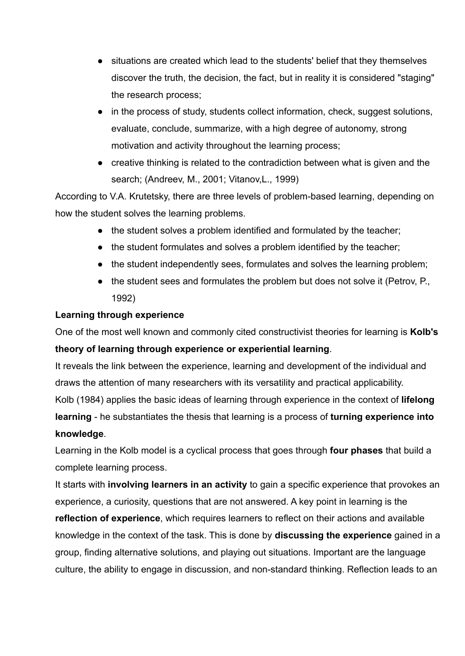- situations are created which lead to the students' belief that they themselves discover the truth, the decision, the fact, but in reality it is considered "staging" the research process;
- in the process of study, students collect information, check, suggest solutions, evaluate, conclude, summarize, with a high degree of autonomy, strong motivation and activity throughout the learning process;
- creative thinking is related to the contradiction between what is given and the search; (Andreev, М., 2001; Vitanov,L., 1999)

According to V.A. Krutetsky, there are three levels of problem-based learning, depending on how the student solves the learning problems.

- the student solves a problem identified and formulated by the teacher;
- the student formulates and solves a problem identified by the teacher;
- the student independently sees, formulates and solves the learning problem;
- the student sees and formulates the problem but does not solve it (Petrov, P., 1992)

## **Learning through experience**

One of the most well known and commonly cited constructivist theories for learning is **Kolb's theory of learning through experience or experiential learning**.

It reveals the link between the experience, learning and development of the individual and draws the attention of many researchers with its versatility and practical applicability.

Kolb (1984) applies the basic ideas of learning through experience in the context of **lifelong learning** - he substantiates the thesis that learning is a process of **turning experience into knowledge**.

Learning in the Kolb model is a cyclical process that goes through **four phases** that build a complete learning process.

It starts with **involving learners in an activity** to gain a specific experience that provokes an experience, a curiosity, questions that are not answered. A key point in learning is the **reflection of experience**, which requires learners to reflect on their actions and available knowledge in the context of the task. This is done by **discussing the experience** gained in a group, finding alternative solutions, and playing out situations. Important are the language culture, the ability to engage in discussion, and non-standard thinking. Reflection leads to an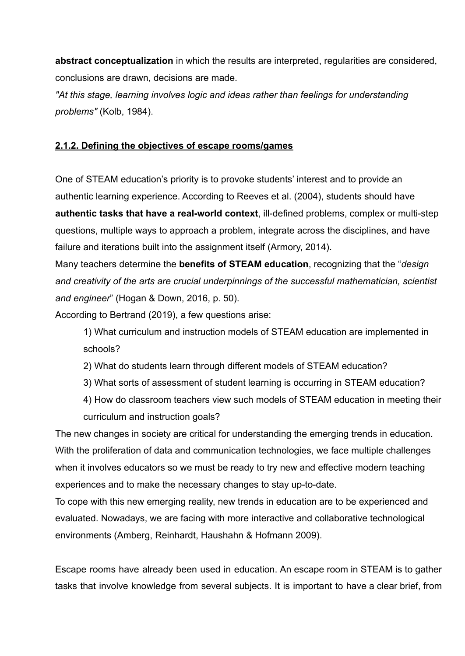**abstract conceptualization** in which the results are interpreted, regularities are considered, conclusions are drawn, decisions are made.

*"At this stage, learning involves logic and ideas rather than feelings for understanding problems"* (Kolb, 1984).

#### **2.1.2. Defining the objectives of escape rooms/games**

One of STEAM education's priority is to provoke students' interest and to provide an authentic learning experience. According to Reeves et al. (2004), students should have **authentic tasks that have a real-world context**, ill-defined problems, complex or multi-step questions, multiple ways to approach a problem, integrate across the disciplines, and have failure and iterations built into the assignment itself (Armory, 2014).

Many teachers determine the **benefits of STEAM education**, recognizing that the "*design and creativity of the arts are crucial underpinnings of the successful mathematician, scientist and engineer*" (Hogan & Down, 2016, p. 50).

According to Bertrand (2019), a few questions arise:

1) What curriculum and instruction models of STEAM education are implemented in schools?

2) What do students learn through different models of STEAM education?

3) What sorts of assessment of student learning is occurring in STEAM education?

4) How do classroom teachers view such models of STEAM education in meeting their curriculum and instruction goals?

The new changes in society are critical for understanding the emerging trends in education. With the proliferation of data and communication technologies, we face multiple challenges when it involves educators so we must be ready to try new and effective modern teaching experiences and to make the necessary changes to stay up-to-date.

To cope with this new emerging reality, new trends in education are to be experienced and evaluated. Nowadays, we are facing with more interactive and collaborative technological environments (Amberg, Reinhardt, Haushahn & Hofmann 2009).

Escape rooms have already been used in education. An escape room in STEAM is to gather tasks that involve knowledge from several subjects. It is important to have a clear brief, from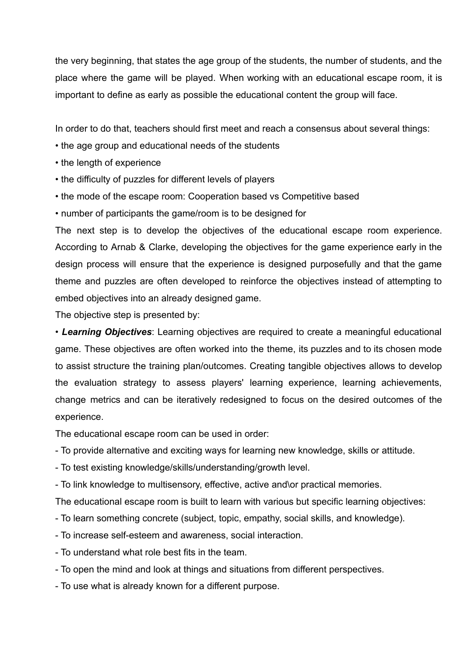the very beginning, that states the age group of the students, the number of students, and the place where the game will be played. When working with an educational escape room, it is important to define as early as possible the educational content the group will face.

In order to do that, teachers should first meet and reach a consensus about several things:

- the age group and educational needs of the students
- the length of experience
- the difficulty of puzzles for different levels of players
- the mode of the escape room: Cooperation based vs Competitive based
- number of participants the game/room is to be designed for

The next step is to develop the objectives of the educational escape room experience. According to Arnab & Clarke, developing the objectives for the game experience early in the design process will ensure that the experience is designed purposefully and that the game theme and puzzles are often developed to reinforce the objectives instead of attempting to embed objectives into an already designed game.

The objective step is presented by:

• *Learning Objectives*: Learning objectives are required to create a meaningful educational game. These objectives are often worked into the theme, its puzzles and to its chosen mode to assist structure the training plan/outcomes. Creating tangible objectives allows to develop the evaluation strategy to assess players' learning experience, learning achievements, change metrics and can be iteratively redesigned to focus on the desired outcomes of the experience.

The educational escape room can be used in order:

- To provide alternative and exciting ways for learning new knowledge, skills or attitude.
- To test existing knowledge/skills/understanding/growth level.
- To link knowledge to multisensory, effective, active and\or practical memories.

The educational escape room is built to learn with various but specific learning objectives:

- To learn something concrete (subject, topic, empathy, social skills, and knowledge).
- To increase self-esteem and awareness, social interaction.
- To understand what role best fits in the team.
- To open the mind and look at things and situations from different perspectives.
- To use what is already known for a different purpose.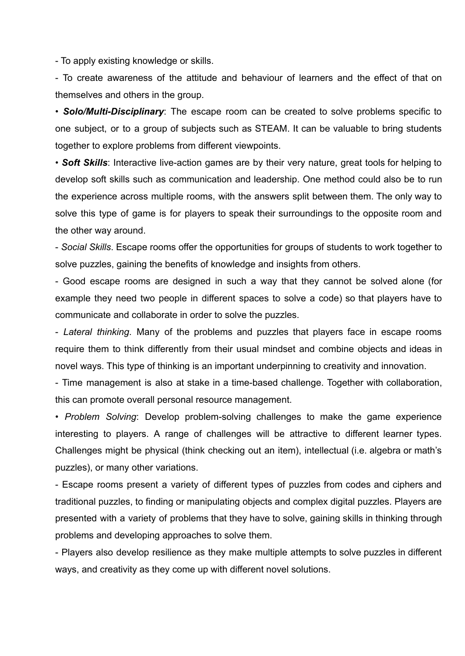- To apply existing knowledge or skills.

- To create awareness of the attitude and behaviour of learners and the effect of that on themselves and others in the group.

• *Solo/Multi-Disciplinary*: The escape room can be created to solve problems specific to one subject, or to a group of subjects such as STEAM. It can be valuable to bring students together to explore problems from different viewpoints.

• *Soft Skills*: Interactive live-action games are by their very nature, great tools for helping to develop soft skills such as communication and leadership. One method could also be to run the experience across multiple rooms, with the answers split between them. The only way to solve this type of game is for players to speak their surroundings to the opposite room and the other way around.

- *Social Skills*. Escape rooms offer the opportunities for groups of students to work together to solve puzzles, gaining the benefits of knowledge and insights from others.

- Good escape rooms are designed in such a way that they cannot be solved alone (for example they need two people in different spaces to solve a code) so that players have to communicate and collaborate in order to solve the puzzles.

- *Lateral thinking*. Many of the problems and puzzles that players face in escape rooms require them to think differently from their usual mindset and combine objects and ideas in novel ways. This type of thinking is an important underpinning to creativity and innovation.

- Time management is also at stake in a time-based challenge. Together with collaboration, this can promote overall personal resource management.

• *Problem Solving*: Develop problem-solving challenges to make the game experience interesting to players. A range of challenges will be attractive to different learner types. Challenges might be physical (think checking out an item), intellectual (i.e. algebra or math's puzzles), or many other variations.

- Escape rooms present a variety of different types of puzzles from codes and ciphers and traditional puzzles, to finding or manipulating objects and complex digital puzzles. Players are presented with a variety of problems that they have to solve, gaining skills in thinking through problems and developing approaches to solve them.

- Players also develop resilience as they make multiple attempts to solve puzzles in different ways, and creativity as they come up with different novel solutions.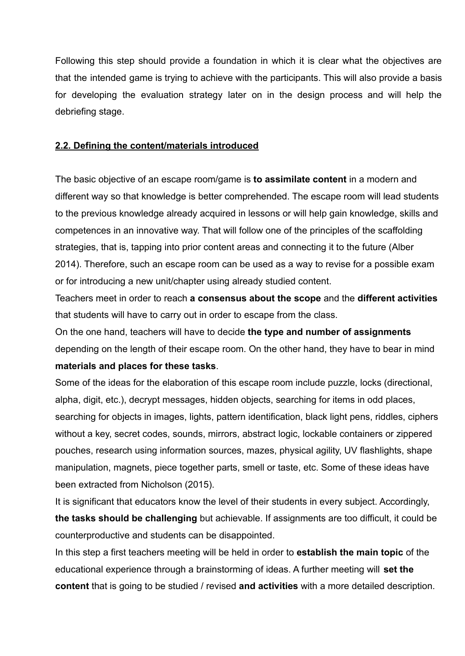Following this step should provide a foundation in which it is clear what the objectives are that the intended game is trying to achieve with the participants. This will also provide a basis for developing the evaluation strategy later on in the design process and will help the debriefing stage.

#### **2.2. Defining the content/materials introduced**

The basic objective of an escape room/game is **to assimilate content** in a modern and different way so that knowledge is better comprehended. The escape room will lead students to the previous knowledge already acquired in lessons or will help gain knowledge, skills and competences in an innovative way. That will follow one of the principles of the scaffolding strategies, that is, tapping into prior content areas and connecting it to the future (Alber 2014). Therefore, such an escape room can be used as a way to revise for a possible exam or for introducing a new unit/chapter using already studied content.

Teachers meet in order to reach **a consensus about the scope** and the **different activities** that students will have to carry out in order to escape from the class.

On the one hand, teachers will have to decide **the type and number of assignments** depending on the length of their escape room. On the other hand, they have to bear in mind **materials and places for these tasks**.

Some of the ideas for the elaboration of this escape room include puzzle, locks (directional, alpha, digit, etc.), decrypt messages, hidden objects, searching for items in odd places, searching for objects in images, lights, pattern identification, black light pens, riddles, ciphers without a key, secret codes, sounds, mirrors, abstract logic, lockable containers or zippered pouches, research using information sources, mazes, physical agility, UV flashlights, shape manipulation, magnets, piece together parts, smell or taste, etc. Some of these ideas have been extracted from Nicholson (2015).

It is significant that educators know the level of their students in every subject. Accordingly, **the tasks should be challenging** but achievable. If assignments are too difficult, it could be counterproductive and students can be disappointed.

In this step a first teachers meeting will be held in order to **establish the main topic** of the educational experience through a brainstorming of ideas. A further meeting will **set the content** that is going to be studied / revised **and activities** with a more detailed description.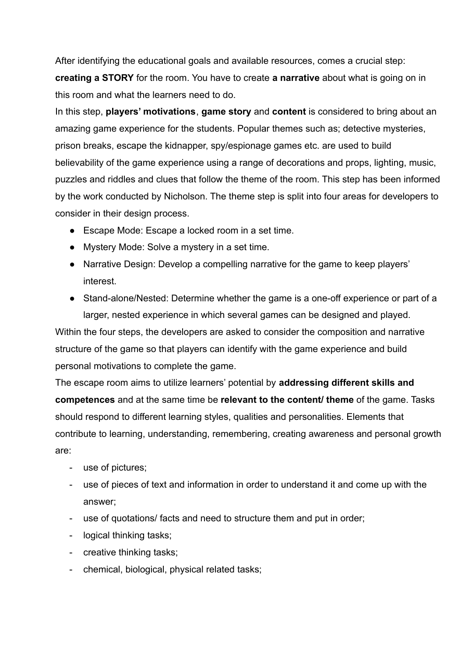After identifying the educational goals and available resources, comes a crucial step: **creating a STORY** for the room. You have to create **a narrative** about what is going on in this room and what the learners need to do.

In this step, **players' motivations**, **game story** and **content** is considered to bring about an amazing game experience for the students. Popular themes such as; detective mysteries, prison breaks, escape the kidnapper, spy/espionage games etc. are used to build believability of the game experience using a range of decorations and props, lighting, music, puzzles and riddles and clues that follow the theme of the room. This step has been informed by the work conducted by Nicholson. The theme step is split into four areas for developers to consider in their design process.

- Escape Mode: Escape a locked room in a set time.
- Mystery Mode: Solve a mystery in a set time.
- Narrative Design: Develop a compelling narrative for the game to keep players' interest.
- Stand-alone/Nested: Determine whether the game is a one-off experience or part of a larger, nested experience in which several games can be designed and played.

Within the four steps, the developers are asked to consider the composition and narrative structure of the game so that players can identify with the game experience and build personal motivations to complete the game.

The escape room aims to utilize learners' potential by **addressing different skills and competences** and at the same time be **relevant to the content/ theme** of the game. Tasks should respond to different learning styles, qualities and personalities. Elements that contribute to learning, understanding, remembering, creating awareness and personal growth are:

- use of pictures;
- use of pieces of text and information in order to understand it and come up with the answer;
- use of quotations/ facts and need to structure them and put in order;
- logical thinking tasks;
- creative thinking tasks;
- chemical, biological, physical related tasks;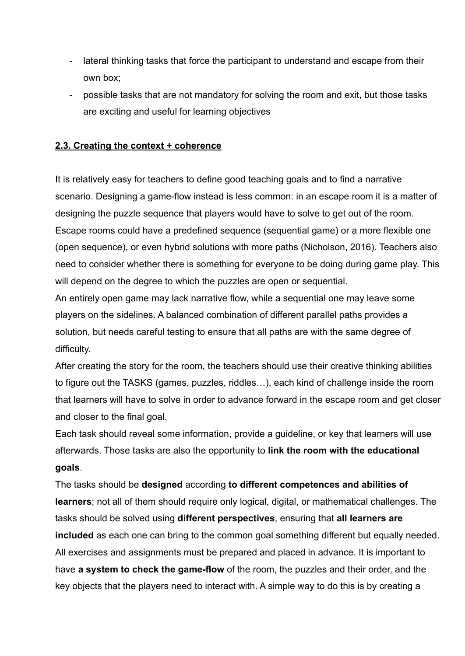- lateral thinking tasks that force the participant to understand and escape from their own box;
- possible tasks that are not mandatory for solving the room and exit, but those tasks are exciting and useful for learning objectives

#### **2.3. Creating the context + coherence**

It is relatively easy for teachers to define good teaching goals and to find a narrative scenario. Designing a game-flow instead is less common: in an escape room it is a matter of designing the puzzle sequence that players would have to solve to get out of the room. Escape rooms could have a predefined sequence (sequential game) or a more flexible one (open sequence), or even hybrid solutions with more paths (Nicholson, 2016). Teachers also need to consider whether there is something for everyone to be doing during game play. This will depend on the degree to which the puzzles are open or sequential.

An entirely open game may lack narrative flow, while a sequential one may leave some players on the sidelines. A balanced combination of different parallel paths provides a solution, but needs careful testing to ensure that all paths are with the same degree of difficulty.

After creating the story for the room, the teachers should use their creative thinking abilities to figure out the TASKS (games, puzzles, riddles…), each kind of challenge inside the room that learners will have to solve in order to advance forward in the escape room and get closer and closer to the final goal.

Each task should reveal some information, provide a guideline, or key that learners will use afterwards. Those tasks are also the opportunity to **link the room with the educational goals**.

The tasks should be **designed** according **to different competences and abilities of learners**; not all of them should require only logical, digital, or mathematical challenges. The tasks should be solved using **different perspectives**, ensuring that **all learners are included** as each one can bring to the common goal something different but equally needed. All exercises and assignments must be prepared and placed in advance. It is important to have **a system to check the game-flow** of the room, the puzzles and their order, and the key objects that the players need to interact with. A simple way to do this is by creating a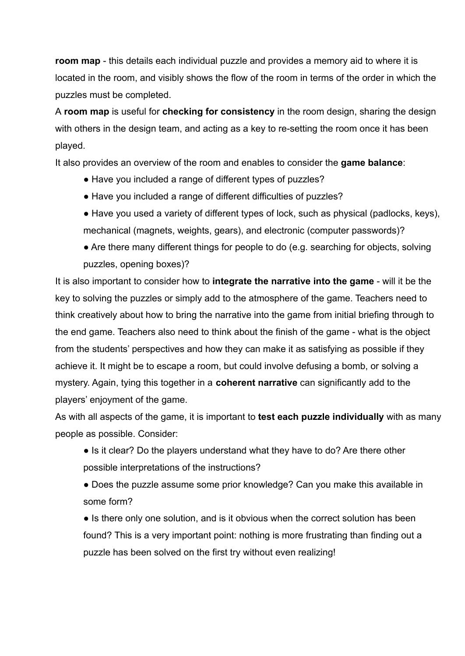**room map** - this details each individual puzzle and provides a memory aid to where it is located in the room, and visibly shows the flow of the room in terms of the order in which the puzzles must be completed.

A **room map** is useful for **checking for consistency** in the room design, sharing the design with others in the design team, and acting as a key to re-setting the room once it has been played.

It also provides an overview of the room and enables to consider the **game balance**:

- Have you included a range of different types of puzzles?
- Have you included a range of different difficulties of puzzles?
- Have you used a variety of different types of lock, such as physical (padlocks, keys), mechanical (magnets, weights, gears), and electronic (computer passwords)?
- Are there many different things for people to do (e.g. searching for objects, solving puzzles, opening boxes)?

It is also important to consider how to **integrate the narrative into the game** - will it be the key to solving the puzzles or simply add to the atmosphere of the game. Teachers need to think creatively about how to bring the narrative into the game from initial briefing through to the end game. Teachers also need to think about the finish of the game - what is the object from the students' perspectives and how they can make it as satisfying as possible if they achieve it. It might be to escape a room, but could involve defusing a bomb, or solving a mystery. Again, tying this together in a **coherent narrative** can significantly add to the players' enjoyment of the game.

As with all aspects of the game, it is important to **test each puzzle individually** with as many people as possible. Consider:

- Is it clear? Do the players understand what they have to do? Are there other possible interpretations of the instructions?
- Does the puzzle assume some prior knowledge? Can you make this available in some form?

• Is there only one solution, and is it obvious when the correct solution has been found? This is a very important point: nothing is more frustrating than finding out a puzzle has been solved on the first try without even realizing!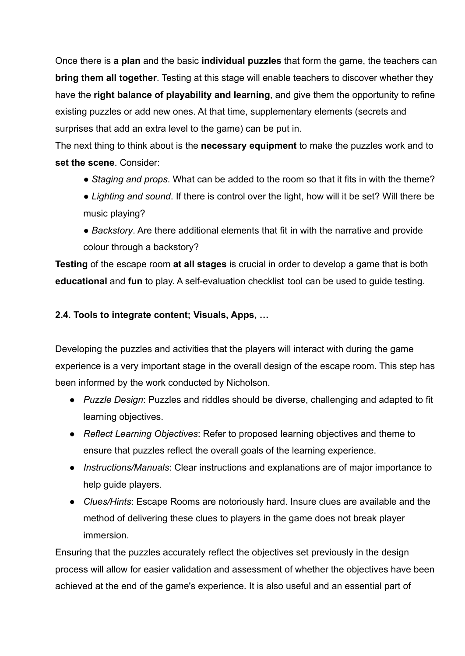Once there is **a plan** and the basic **individual puzzles** that form the game, the teachers can **bring them all together**. Testing at this stage will enable teachers to discover whether they have the **right balance of playability and learning**, and give them the opportunity to refine existing puzzles or add new ones. At that time, supplementary elements (secrets and surprises that add an extra level to the game) can be put in.

The next thing to think about is the **necessary equipment** to make the puzzles work and to **set the scene**. Consider:

- *Staging and props*. What can be added to the room so that it fits in with the theme?
- *Lighting and sound*. If there is control over the light, how will it be set? Will there be music playing?
- *Backstory*. Are there additional elements that fit in with the narrative and provide colour through a backstory?

**Testing** of the escape room **at all stages** is crucial in order to develop a game that is both **educational** and **fun** to play. A self-evaluation checklist tool can be used to guide testing.

## **2.4. Tools to integrate content; Visuals, Apps, …**

Developing the puzzles and activities that the players will interact with during the game experience is a very important stage in the overall design of the escape room. This step has been informed by the work conducted by Nicholson.

- *Puzzle Design*: Puzzles and riddles should be diverse, challenging and adapted to fit learning objectives.
- *Reflect Learning Objectives*: Refer to proposed learning objectives and theme to ensure that puzzles reflect the overall goals of the learning experience.
- *Instructions/Manuals*: Clear instructions and explanations are of major importance to help guide players.
- *Clues/Hints*: Escape Rooms are notoriously hard. Insure clues are available and the method of delivering these clues to players in the game does not break player immersion.

Ensuring that the puzzles accurately reflect the objectives set previously in the design process will allow for easier validation and assessment of whether the objectives have been achieved at the end of the game's experience. It is also useful and an essential part of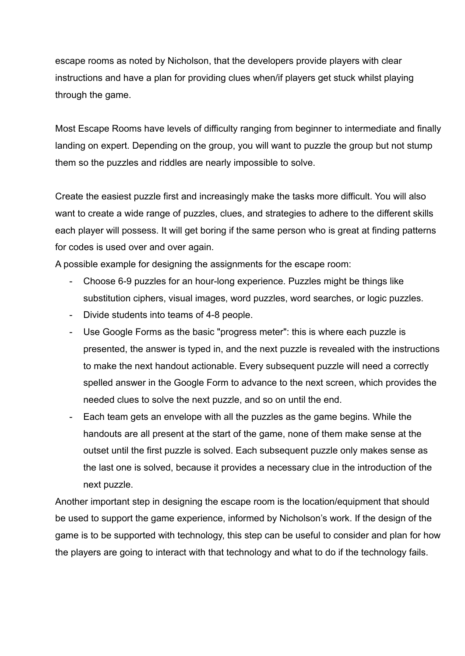escape rooms as noted by Nicholson, that the developers provide players with clear instructions and have a plan for providing clues when/if players get stuck whilst playing through the game.

Most Escape Rooms have levels of difficulty ranging from beginner to intermediate and finally landing on expert. Depending on the group, you will want to puzzle the group but not stump them so the puzzles and riddles are nearly impossible to solve.

Create the easiest puzzle first and increasingly make the tasks more difficult. You will also want to create a wide range of puzzles, clues, and strategies to adhere to the different skills each player will possess. It will get boring if the same person who is great at finding patterns for codes is used over and over again.

A possible example for designing the assignments for the escape room:

- Choose 6-9 puzzles for an hour-long experience. Puzzles might be things like substitution ciphers, visual images, word puzzles, word searches, or logic puzzles.
- Divide students into teams of 4-8 people.
- Use Google Forms as the basic "progress meter": this is where each puzzle is presented, the answer is typed in, and the next puzzle is revealed with the instructions to make the next handout actionable. Every subsequent puzzle will need a correctly spelled answer in the Google Form to advance to the next screen, which provides the needed clues to solve the next puzzle, and so on until the end.
- Each team gets an envelope with all the puzzles as the game begins. While the handouts are all present at the start of the game, none of them make sense at the outset until the first puzzle is solved. Each subsequent puzzle only makes sense as the last one is solved, because it provides a necessary clue in the introduction of the next puzzle.

Another important step in designing the escape room is the location/equipment that should be used to support the game experience, informed by Nicholson's work. If the design of the game is to be supported with technology, this step can be useful to consider and plan for how the players are going to interact with that technology and what to do if the technology fails.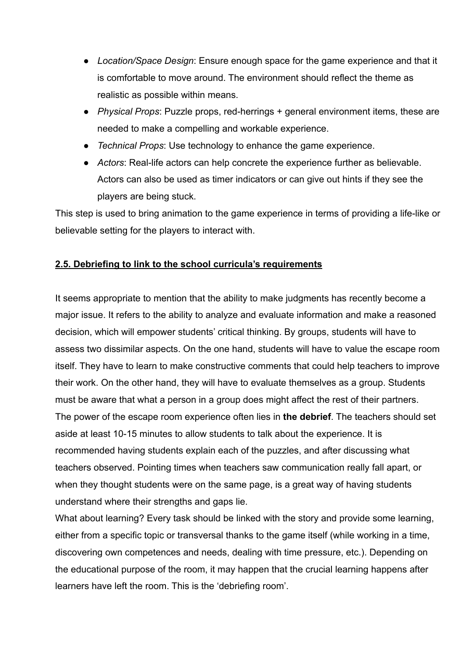- *Location/Space Design*: Ensure enough space for the game experience and that it is comfortable to move around. The environment should reflect the theme as realistic as possible within means.
- *Physical Props*: Puzzle props, red-herrings + general environment items, these are needed to make a compelling and workable experience.
- *Technical Props*: Use technology to enhance the game experience.
- *Actors*: Real-life actors can help concrete the experience further as believable. Actors can also be used as timer indicators or can give out hints if they see the players are being stuck.

This step is used to bring animation to the game experience in terms of providing a life-like or believable setting for the players to interact with.

## **2.5. Debriefing to link to the school curricula's requirements**

It seems appropriate to mention that the ability to make judgments has recently become a major issue. It refers to the ability to analyze and evaluate information and make a reasoned decision, which will empower students' critical thinking. By groups, students will have to assess two dissimilar aspects. On the one hand, students will have to value the escape room itself. They have to learn to make constructive comments that could help teachers to improve their work. On the other hand, they will have to evaluate themselves as a group. Students must be aware that what a person in a group does might affect the rest of their partners. The power of the escape room experience often lies in **the debrief**. The teachers should set aside at least 10-15 minutes to allow students to talk about the experience. It is recommended having students explain each of the puzzles, and after discussing what teachers observed. Pointing times when teachers saw communication really fall apart, or when they thought students were on the same page, is a great way of having students understand where their strengths and gaps lie.

What about learning? Every task should be linked with the story and provide some learning, either from a specific topic or transversal thanks to the game itself (while working in a time, discovering own competences and needs, dealing with time pressure, etc.). Depending on the educational purpose of the room, it may happen that the crucial learning happens after learners have left the room. This is the 'debriefing room'.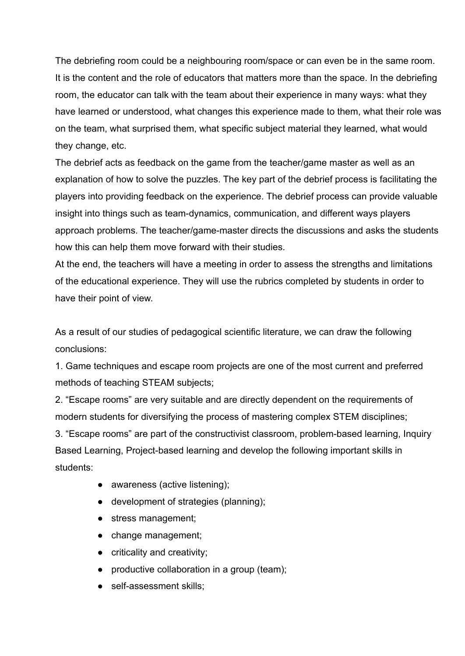The debriefing room could be a neighbouring room/space or can even be in the same room. It is the content and the role of educators that matters more than the space. In the debriefing room, the educator can talk with the team about their experience in many ways: what they have learned or understood, what changes this experience made to them, what their role was on the team, what surprised them, what specific subject material they learned, what would they change, etc.

The debrief acts as feedback on the game from the teacher/game master as well as an explanation of how to solve the puzzles. The key part of the debrief process is facilitating the players into providing feedback on the experience. The debrief process can provide valuable insight into things such as team-dynamics, communication, and different ways players approach problems. The teacher/game-master directs the discussions and asks the students how this can help them move forward with their studies.

At the end, the teachers will have a meeting in order to assess the strengths and limitations of the educational experience. They will use the rubrics completed by students in order to have their point of view.

As a result of our studies of pedagogical scientific literature, we can draw the following conclusions:

1. Game techniques and escape room projects are one of the most current and preferred methods of teaching STEAM subjects;

2. "Escape rooms" are very suitable and are directly dependent on the requirements of modern students for diversifying the process of mastering complex STEM disciplines; 3. "Escape rooms" are part of the constructivist classroom, problem-based learning, Inquiry Based Learning, Project-based learning and develop the following important skills in students:

• awareness (active listening);

- development of strategies (planning);
- stress management;
- change management;
- criticality and creativity;
- productive collaboration in a group (team);
- self-assessment skills: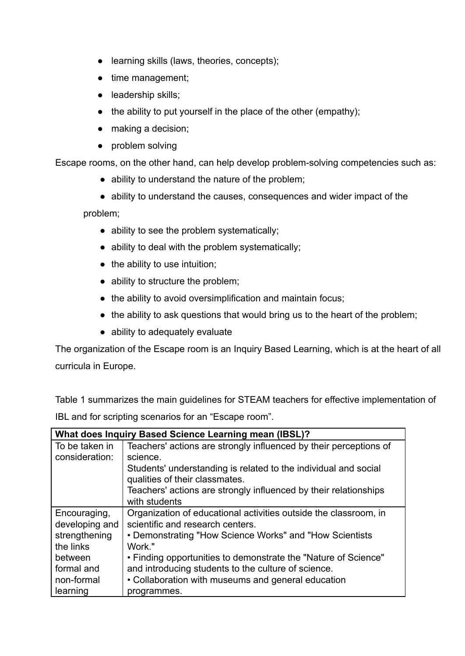- learning skills (laws, theories, concepts);
- time management;
- leadership skills;
- $\bullet$  the ability to put yourself in the place of the other (empathy);
- making a decision;
- problem solving

Escape rooms, on the other hand, can help develop problem-solving competencies such as:

- ability to understand the nature of the problem;
- ability to understand the causes, consequences and wider impact of the

problem;

- ability to see the problem systematically;
- ability to deal with the problem systematically;
- the ability to use intuition;
- ability to structure the problem;
- the ability to avoid oversimplification and maintain focus;
- the ability to ask questions that would bring us to the heart of the problem;
- ability to adequately evaluate

The organization of the Escape room is an Inquiry Based Learning, which is at the heart of all curricula in Europe.

Table 1 summarizes the main guidelines for STEAM teachers for effective implementation of IBL and for scripting scenarios for an "Escape room".

| What does Inquiry Based Science Learning mean (IBSL)? |                                                                   |  |
|-------------------------------------------------------|-------------------------------------------------------------------|--|
| To be taken in                                        | Teachers' actions are strongly influenced by their perceptions of |  |
| consideration:                                        | science.                                                          |  |
|                                                       | Students' understanding is related to the individual and social   |  |
|                                                       | qualities of their classmates.                                    |  |
|                                                       | Teachers' actions are strongly influenced by their relationships  |  |
|                                                       | with students                                                     |  |
| Encouraging,                                          | Organization of educational activities outside the classroom, in  |  |
| developing and                                        | scientific and research centers.                                  |  |
| strengthening                                         | • Demonstrating "How Science Works" and "How Scientists"          |  |
| the links                                             | Work."                                                            |  |
| between                                               | • Finding opportunities to demonstrate the "Nature of Science"    |  |
| formal and                                            | and introducing students to the culture of science.               |  |
| non-formal                                            | • Collaboration with museums and general education                |  |
| learning                                              | programmes.                                                       |  |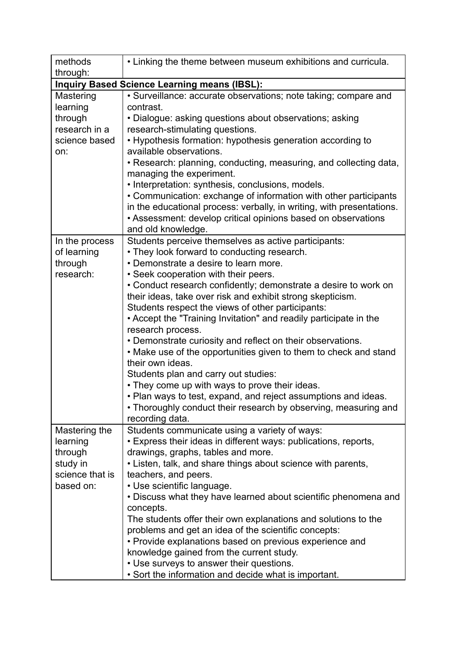| methods<br>through:                                 | • Linking the theme between museum exhibitions and curricula.         |  |  |
|-----------------------------------------------------|-----------------------------------------------------------------------|--|--|
| <b>Inquiry Based Science Learning means (IBSL):</b> |                                                                       |  |  |
| Mastering                                           | · Surveillance: accurate observations; note taking; compare and       |  |  |
| learning                                            | contrast.                                                             |  |  |
| through                                             | • Dialogue: asking questions about observations; asking               |  |  |
| research in a                                       | research-stimulating questions.                                       |  |  |
| science based                                       | • Hypothesis formation: hypothesis generation according to            |  |  |
| on:                                                 | available observations.                                               |  |  |
|                                                     | • Research: planning, conducting, measuring, and collecting data,     |  |  |
|                                                     | managing the experiment.                                              |  |  |
|                                                     | • Interpretation: synthesis, conclusions, models.                     |  |  |
|                                                     | • Communication: exchange of information with other participants      |  |  |
|                                                     | in the educational process: verbally, in writing, with presentations. |  |  |
|                                                     | • Assessment: develop critical opinions based on observations         |  |  |
|                                                     | and old knowledge.                                                    |  |  |
| In the process                                      | Students perceive themselves as active participants:                  |  |  |
| of learning                                         | • They look forward to conducting research.                           |  |  |
| through                                             | • Demonstrate a desire to learn more.                                 |  |  |
| research:                                           | • Seek cooperation with their peers.                                  |  |  |
|                                                     | • Conduct research confidently; demonstrate a desire to work on       |  |  |
|                                                     | their ideas, take over risk and exhibit strong skepticism.            |  |  |
|                                                     | Students respect the views of other participants:                     |  |  |
|                                                     | • Accept the "Training Invitation" and readily participate in the     |  |  |
|                                                     | research process.                                                     |  |  |
|                                                     | • Demonstrate curiosity and reflect on their observations.            |  |  |
|                                                     | . Make use of the opportunities given to them to check and stand      |  |  |
|                                                     | their own ideas.                                                      |  |  |
|                                                     | Students plan and carry out studies:                                  |  |  |
|                                                     | • They come up with ways to prove their ideas.                        |  |  |
|                                                     | • Plan ways to test, expand, and reject assumptions and ideas.        |  |  |
|                                                     | • Thoroughly conduct their research by observing, measuring and       |  |  |
|                                                     | recording data.                                                       |  |  |
| Mastering the                                       | Students communicate using a variety of ways:                         |  |  |
| learning                                            | • Express their ideas in different ways: publications, reports,       |  |  |
| through                                             | drawings, graphs, tables and more.                                    |  |  |
| study in                                            | • Listen, talk, and share things about science with parents,          |  |  |
| science that is                                     | teachers, and peers.                                                  |  |  |
| based on:                                           | • Use scientific language.                                            |  |  |
|                                                     | . Discuss what they have learned about scientific phenomena and       |  |  |
|                                                     | concepts.                                                             |  |  |
|                                                     | The students offer their own explanations and solutions to the        |  |  |
|                                                     | problems and get an idea of the scientific concepts:                  |  |  |
|                                                     | • Provide explanations based on previous experience and               |  |  |
|                                                     | knowledge gained from the current study.                              |  |  |
|                                                     | • Use surveys to answer their questions.                              |  |  |
|                                                     | • Sort the information and decide what is important.                  |  |  |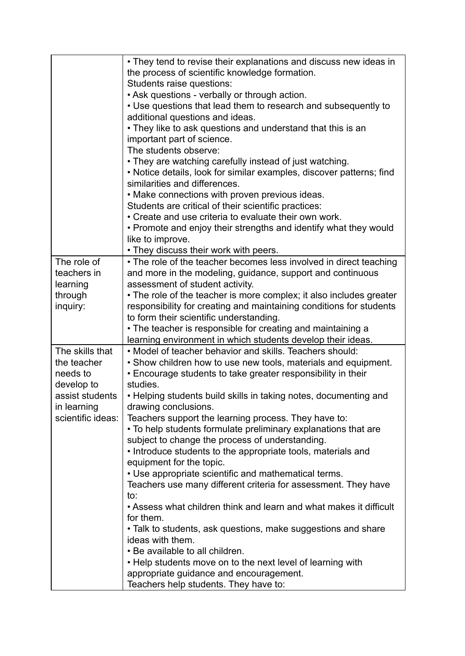|                         | • They tend to revise their explanations and discuss new ideas in                                                              |
|-------------------------|--------------------------------------------------------------------------------------------------------------------------------|
|                         | the process of scientific knowledge formation.                                                                                 |
|                         | Students raise questions:                                                                                                      |
|                         | • Ask questions - verbally or through action.                                                                                  |
|                         | • Use questions that lead them to research and subsequently to                                                                 |
|                         | additional questions and ideas.                                                                                                |
|                         | • They like to ask questions and understand that this is an                                                                    |
|                         | important part of science.                                                                                                     |
|                         | The students observe:                                                                                                          |
|                         | • They are watching carefully instead of just watching.                                                                        |
|                         | • Notice details, look for similar examples, discover patterns; find                                                           |
|                         | similarities and differences.                                                                                                  |
|                         | • Make connections with proven previous ideas.                                                                                 |
|                         | Students are critical of their scientific practices:                                                                           |
|                         | • Create and use criteria to evaluate their own work.                                                                          |
|                         | • Promote and enjoy their strengths and identify what they would                                                               |
|                         | like to improve.                                                                                                               |
|                         | • They discuss their work with peers.                                                                                          |
| The role of             | • The role of the teacher becomes less involved in direct teaching                                                             |
| teachers in             | and more in the modeling, guidance, support and continuous                                                                     |
| learning                | assessment of student activity.                                                                                                |
| through                 | • The role of the teacher is more complex; it also includes greater                                                            |
| inquiry:                | responsibility for creating and maintaining conditions for students                                                            |
|                         | to form their scientific understanding.                                                                                        |
|                         | • The teacher is responsible for creating and maintaining a                                                                    |
|                         | learning environment in which students develop their ideas.                                                                    |
| The skills that         | • Model of teacher behavior and skills. Teachers should:                                                                       |
| the teacher<br>needs to | • Show children how to use new tools, materials and equipment.<br>• Encourage students to take greater responsibility in their |
| develop to              | studies.                                                                                                                       |
| assist students         | • Helping students build skills in taking notes, documenting and                                                               |
| in learning             | drawing conclusions.                                                                                                           |
| scientific ideas:       | Teachers support the learning process. They have to:                                                                           |
|                         | • To help students formulate preliminary explanations that are                                                                 |
|                         | subject to change the process of understanding.                                                                                |
|                         | • Introduce students to the appropriate tools, materials and                                                                   |
|                         | equipment for the topic.                                                                                                       |
|                         | • Use appropriate scientific and mathematical terms.                                                                           |
|                         | Teachers use many different criteria for assessment. They have                                                                 |
|                         | to:                                                                                                                            |
|                         | • Assess what children think and learn and what makes it difficult                                                             |
|                         | for them.                                                                                                                      |
|                         | • Talk to students, ask questions, make suggestions and share                                                                  |
|                         | ideas with them.                                                                                                               |
|                         | • Be available to all children.                                                                                                |
|                         |                                                                                                                                |
|                         | • Help students move on to the next level of learning with                                                                     |
|                         | appropriate guidance and encouragement.<br>Teachers help students. They have to:                                               |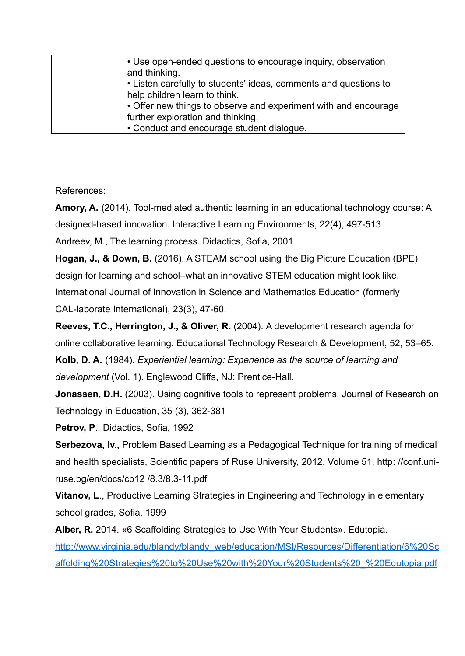| • Use open-ended questions to encourage inquiry, observation<br>and thinking. |
|-------------------------------------------------------------------------------|
| • Listen carefully to students' ideas, comments and questions to              |
| help children learn to think.                                                 |
| • Offer new things to observe and experiment with and encourage               |
| further exploration and thinking.                                             |
| • Conduct and encourage student dialogue.                                     |

References:

**Amory, A.** (2014). Tool-mediated authentic learning in an educational technology course: A designed-based innovation. Interactive Learning Environments, 22(4), 497-513

Andreev, M., The learning process. Didactics, Sofia, 2001

**Hogan, J., & Down, B.** (2016). A STEAM school using the Big Picture Education (BPE) design for learning and school–what an innovative STEM education might look like. International Journal of Innovation in Science and Mathematics Education (formerly CAL-laborate International), 23(3), 47-60.

**Reeves, T.C., Herrington, J., & Oliver, R.** (2004). A development research agenda for online collaborative learning. Educational Technology Research & Development, 52, 53–65.

**Kolb, D. A.** (1984). *Experiential learning: Experience as the source of learning and development* (Vol. 1). Englewood Cliffs, NJ: Prentice-Hall.

**Jonassen, D.H.** (2003). Using cognitive tools to represent problems. Journal of Research on Technology in Education, 35 (3), 362-381

**Petrov, P**., Didactics, Sofia, 1992

**Serbezova, Iv.,** Problem Based Learning as a Pedagogical Technique for training of medical and health specialists, Scientific papers of Ruse University, 2012, Volume 51, http: //conf.uniruse.bg/en/docs/cp12 /8.3/8.3-11.pdf

**Vitanov, L**., Productive Learning Strategies in Engineering and Technology in elementary school grades, Sofia, 1999

**Alber, R.** 2014. «6 Scaffolding Strategies to Use With Your Students». Edutopia.

[http://www.virginia.edu/blandy/blandy\\_web/education/MSI/Resources/Differentiation/6%20Sc](http://www.virginia.edu/blandy/blandy_web/education/MSI/Resources/Differentiation/6%20Scaffolding%20Strategies%20to%20Use%20with%20Your%20Students%20_%20Edutopia.pdf) [affolding%20Strategies%20to%20Use%20with%20Your%20Students%20\\_%20Edutopia.pdf](http://www.virginia.edu/blandy/blandy_web/education/MSI/Resources/Differentiation/6%20Scaffolding%20Strategies%20to%20Use%20with%20Your%20Students%20_%20Edutopia.pdf)